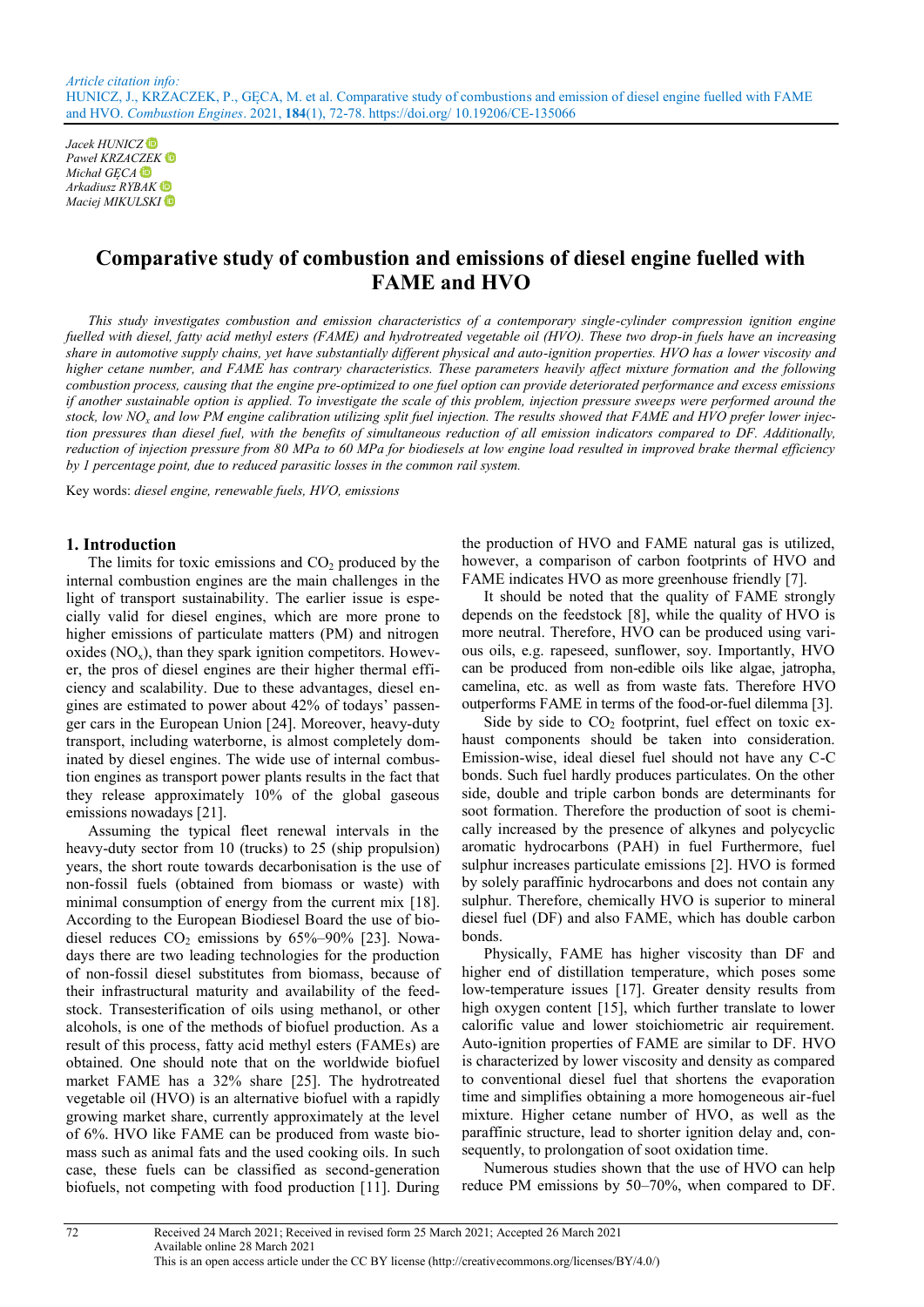*Jacek HUNICZ Paweł KRZACZEK Michał GĘCA Arkadiusz RYBAK Maciej MIKULSKI*

# **Comparative study of combustion and emissions of diesel engine fuelled with FAME and HVO**

*This study investigates combustion and emission characteristics of a contemporary single-cylinder compression ignition engine fuelled with diesel, fatty acid methyl esters (FAME) and hydrotreated vegetable oil (HVO). These two drop-in fuels have an increasing share in automotive supply chains, yet have substantially different physical and auto-ignition properties. HVO has a lower viscosity and higher cetane number, and FAME has contrary characteristics. These parameters heavily affect mixture formation and the following combustion process, causing that the engine pre-optimized to one fuel option can provide deteriorated performance and excess emissions if another sustainable option is applied. To investigate the scale of this problem, injection pressure sweeps were performed around the stock, low NO<sup>x</sup> and low PM engine calibration utilizing split fuel injection. The results showed that FAME and HVO prefer lower injection pressures than diesel fuel, with the benefits of simultaneous reduction of all emission indicators compared to DF. Additionally, reduction of injection pressure from 80 MPa to 60 MPa for biodiesels at low engine load resulted in improved brake thermal efficiency by 1 percentage point, due to reduced parasitic losses in the common rail system.*

Key words: *diesel engine, renewable fuels, HVO, emissions*

#### **1. Introduction**

The limits for toxic emissions and  $CO<sub>2</sub>$  produced by the internal combustion engines are the main challenges in the light of transport sustainability. The earlier issue is especially valid for diesel engines, which are more prone to higher emissions of particulate matters (PM) and nitrogen oxides  $(NO_x)$ , than they spark ignition competitors. However, the pros of diesel engines are their higher thermal efficiency and scalability. Due to these advantages, diesel engines are estimated to power about 42% of todays' passenger cars in the European Union [24]. Moreover, heavy-duty transport, including waterborne, is almost completely dominated by diesel engines. The wide use of internal combustion engines as transport power plants results in the fact that they release approximately 10% of the global gaseous emissions nowadays [21].

Assuming the typical fleet renewal intervals in the heavy-duty sector from 10 (trucks) to 25 (ship propulsion) years, the short route towards decarbonisation is the use of non-fossil fuels (obtained from biomass or waste) with minimal consumption of energy from the current mix [18]. According to the European Biodiesel Board the use of biodiesel reduces  $CO<sub>2</sub>$  emissions by 65%–90% [23]. Nowadays there are two leading technologies for the production of non-fossil diesel substitutes from biomass, because of their infrastructural maturity and availability of the feedstock. Transesterification of oils using methanol, or other alcohols, is one of the methods of biofuel production. As a result of this process, fatty acid methyl esters (FAMEs) are obtained. One should note that on the worldwide biofuel market FAME has a 32% share [25]. The hydrotreated vegetable oil (HVO) is an alternative biofuel with a rapidly growing market share, currently approximately at the level of 6%. HVO like FAME can be produced from waste biomass such as animal fats and the used cooking oils. In such case, these fuels can be classified as second-generation biofuels, not competing with food production [11]. During

the production of HVO and FAME natural gas is utilized, however, a comparison of carbon footprints of HVO and FAME indicates HVO as more greenhouse friendly [7].

It should be noted that the quality of FAME strongly depends on the feedstock [8], while the quality of HVO is more neutral. Therefore, HVO can be produced using various oils, e.g. rapeseed, sunflower, soy. Importantly, HVO can be produced from non-edible oils like algae, jatropha, camelina, etc. as well as from waste fats. Therefore HVO outperforms FAME in terms of the food-or-fuel dilemma [3].

Side by side to  $CO<sub>2</sub>$  footprint, fuel effect on toxic exhaust components should be taken into consideration. Emission-wise, ideal diesel fuel should not have any C-C bonds. Such fuel hardly produces particulates. On the other side, double and triple carbon bonds are determinants for soot formation. Therefore the production of soot is chemically increased by the presence of alkynes and polycyclic aromatic hydrocarbons (PAH) in fuel Furthermore, fuel sulphur increases particulate emissions [2]. HVO is formed by solely paraffinic hydrocarbons and does not contain any sulphur. Therefore, chemically HVO is superior to mineral diesel fuel (DF) and also FAME, which has double carbon bonds.

Physically, FAME has higher viscosity than DF and higher end of distillation temperature, which poses some low-temperature issues [17]. Greater density results from high oxygen content [15], which further translate to lower calorific value and lower stoichiometric air requirement. Auto-ignition properties of FAME are similar to DF. HVO is characterized by lower viscosity and density as compared to conventional diesel fuel that shortens the evaporation time and simplifies obtaining a more homogeneous air-fuel mixture. Higher cetane number of HVO, as well as the paraffinic structure, lead to shorter ignition delay and, consequently, to prolongation of soot oxidation time.

Numerous studies shown that the use of HVO can help reduce PM emissions by 50–70%, when compared to DF.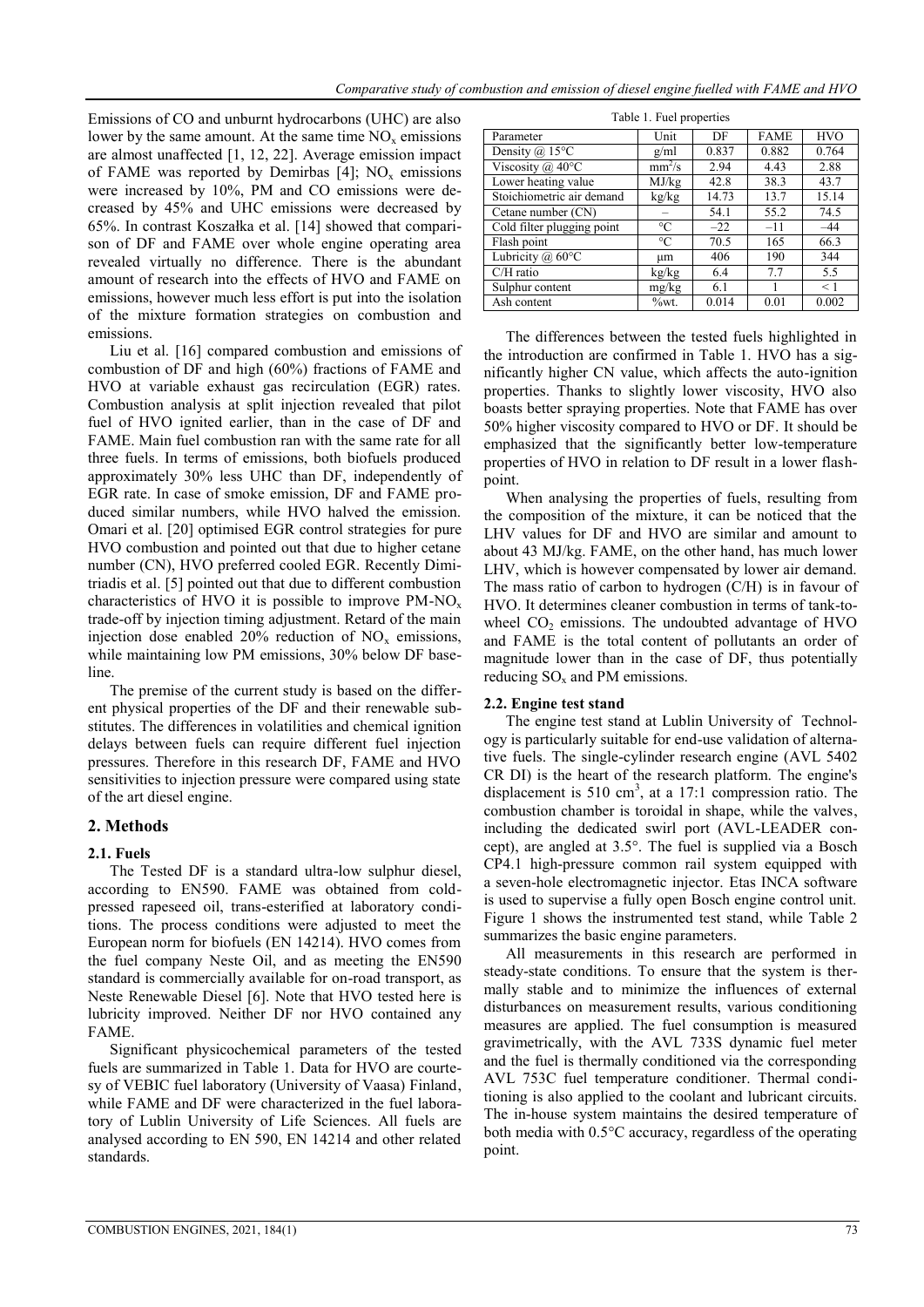Emissions of CO and unburnt hydrocarbons (UHC) are also lower by the same amount. At the same time  $NO<sub>x</sub>$  emissions are almost unaffected [1, 12, 22]. Average emission impact of FAME was reported by Demirbas  $[4]$ ; NO<sub>x</sub> emissions were increased by 10%, PM and CO emissions were decreased by 45% and UHC emissions were decreased by 65%. In contrast Koszałka et al. [14] showed that comparison of DF and FAME over whole engine operating area revealed virtually no difference. There is the abundant amount of research into the effects of HVO and FAME on emissions, however much less effort is put into the isolation of the mixture formation strategies on combustion and emissions.

Liu et al. [16] compared combustion and emissions of combustion of DF and high (60%) fractions of FAME and HVO at variable exhaust gas recirculation (EGR) rates. Combustion analysis at split injection revealed that pilot fuel of HVO ignited earlier, than in the case of DF and FAME. Main fuel combustion ran with the same rate for all three fuels. In terms of emissions, both biofuels produced approximately 30% less UHC than DF, independently of EGR rate. In case of smoke emission, DF and FAME produced similar numbers, while HVO halved the emission. Omari et al. [20] optimised EGR control strategies for pure HVO combustion and pointed out that due to higher cetane number (CN), HVO preferred cooled EGR. Recently Dimitriadis et al. [5] pointed out that due to different combustion characteristics of HVO it is possible to improve  $PM-NO<sub>x</sub>$ trade-off by injection timing adjustment. Retard of the main injection dose enabled 20% reduction of  $NO<sub>x</sub>$  emissions, while maintaining low PM emissions, 30% below DF baseline.

The premise of the current study is based on the different physical properties of the DF and their renewable substitutes. The differences in volatilities and chemical ignition delays between fuels can require different fuel injection pressures. Therefore in this research DF, FAME and HVO sensitivities to injection pressure were compared using state of the art diesel engine.

# **2. Methods**

# **2.1. Fuels**

The Tested DF is a standard ultra-low sulphur diesel, according to EN590. FAME was obtained from coldpressed rapeseed oil, trans-esterified at laboratory conditions. The process conditions were adjusted to meet the European norm for biofuels (EN 14214). HVO comes from the fuel company Neste Oil, and as meeting the EN590 standard is commercially available for on-road transport, as Neste Renewable Diesel [6]. Note that HVO tested here is lubricity improved. Neither DF nor HVO contained any FAME.

Significant physicochemical parameters of the tested fuels are summarized in Table 1. Data for HVO are courtesy of VEBIC fuel laboratory (University of Vaasa) Finland, while FAME and DF were characterized in the fuel laboratory of Lublin University of Life Sciences. All fuels are analysed according to EN 590, EN 14214 and other related standards.

| Table 1. Fuel properties   |                 |       |             |            |  |  |
|----------------------------|-----------------|-------|-------------|------------|--|--|
| Parameter                  | Unit            | DF    | <b>FAME</b> | <b>HVO</b> |  |  |
| Density $(a)$ 15°C         | g/ml            | 0.837 | 0.882       | 0.764      |  |  |
| Viscosity $(a)$ 40°C       | $mm^2/s$        | 2.94  | 4.43        | 2.88       |  |  |
| Lower heating value        | MJ/kg           | 42.8  | 38.3        | 43.7       |  |  |
| Stoichiometric air demand  | kg/kg           | 14.73 | 13.7        | 15.14      |  |  |
| Cetane number (CN)         | -               | 54.1  | 55.2        | 74.5       |  |  |
| Cold filter plugging point | $\circ$ C       | $-22$ | $-11$       | $-44$      |  |  |
| Flash point                | $\rm ^{\circ}C$ | 70.5  | 165         | 66.3       |  |  |
| Lubricity $(a)$ 60°C       | μm              | 406   | 190         | 344        |  |  |
| $C/H$ ratio                | kg/kg           | 6.4   | 7.7         | 5.5        |  |  |
| Sulphur content            | mg/kg           | 6.1   |             | $\leq$ 1   |  |  |
| Ash content                | %wt.            | 0.014 | 0.01        | 0.002      |  |  |

The differences between the tested fuels highlighted in the introduction are confirmed in Table 1. HVO has a significantly higher CN value, which affects the auto-ignition properties. Thanks to slightly lower viscosity, HVO also boasts better spraying properties. Note that FAME has over 50% higher viscosity compared to HVO or DF. It should be emphasized that the significantly better low-temperature properties of HVO in relation to DF result in a lower flashpoint.

When analysing the properties of fuels, resulting from the composition of the mixture, it can be noticed that the LHV values for DF and HVO are similar and amount to about 43 MJ/kg. FAME, on the other hand, has much lower LHV, which is however compensated by lower air demand. The mass ratio of carbon to hydrogen (C/H) is in favour of HVO. It determines cleaner combustion in terms of tank-towheel  $CO<sub>2</sub>$  emissions. The undoubted advantage of HVO and FAME is the total content of pollutants an order of magnitude lower than in the case of DF, thus potentially reducing  $SO_x$  and PM emissions.

# **2.2. Engine test stand**

The engine test stand at Lublin University of Technology is particularly suitable for end-use validation of alternative fuels. The single-cylinder research engine (AVL 5402 CR DI) is the heart of the research platform. The engine's displacement is 510 cm<sup>3</sup>, at a 17:1 compression ratio. The combustion chamber is toroidal in shape, while the valves, including the dedicated swirl port (AVL-LEADER concept), are angled at 3.5°. The fuel is supplied via a Bosch CP4.1 high-pressure common rail system equipped with a seven-hole electromagnetic injector. Etas INCA software is used to supervise a fully open Bosch engine control unit. Figure 1 shows the instrumented test stand, while Table 2 summarizes the basic engine parameters.

All measurements in this research are performed in steady-state conditions. To ensure that the system is thermally stable and to minimize the influences of external disturbances on measurement results, various conditioning measures are applied. The fuel consumption is measured gravimetrically, with the AVL 733S dynamic fuel meter and the fuel is thermally conditioned via the corresponding AVL 753C fuel temperature conditioner. Thermal conditioning is also applied to the coolant and lubricant circuits. The in-house system maintains the desired temperature of both media with 0.5°C accuracy, regardless of the operating point.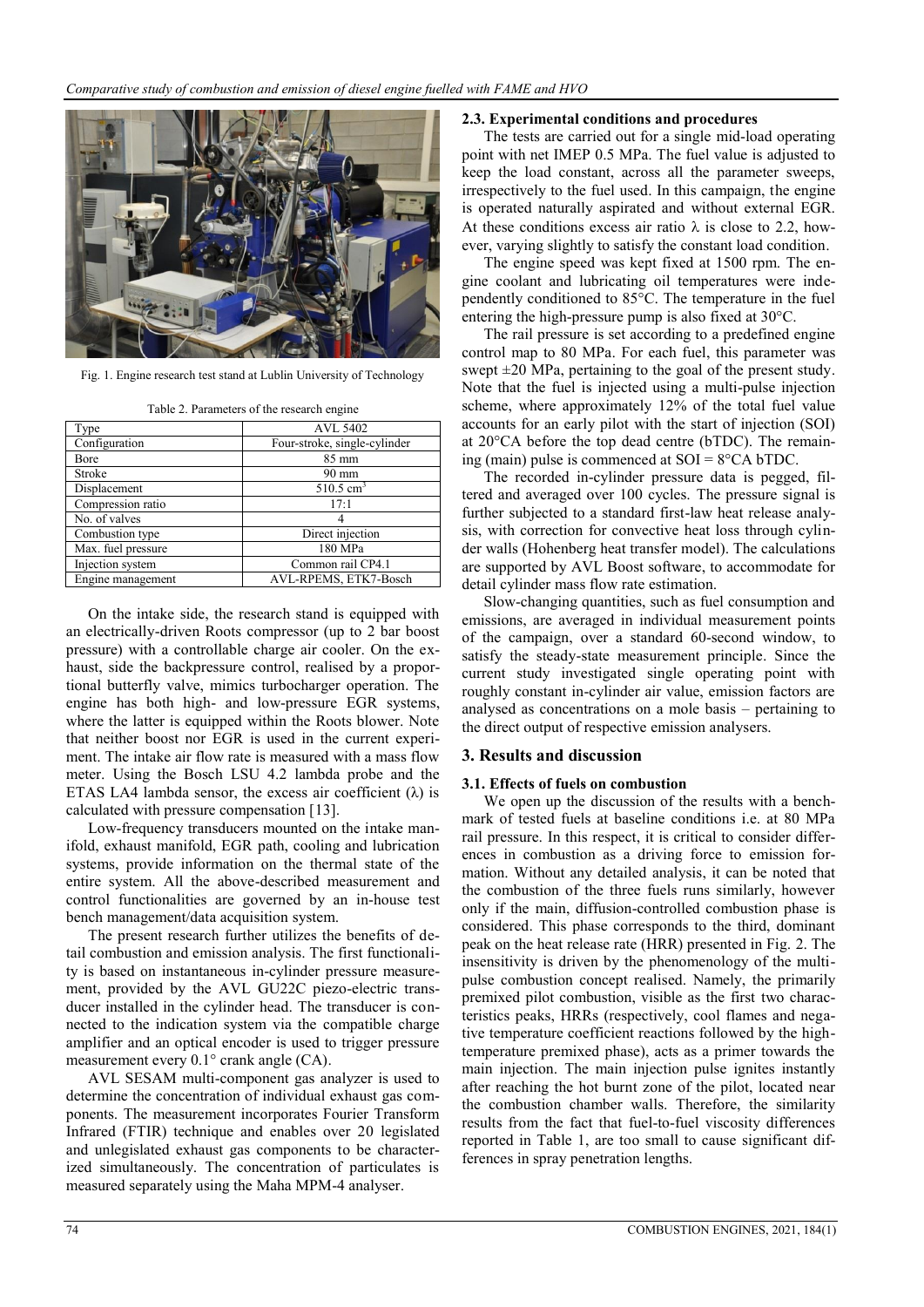

Fig. 1. Engine research test stand at Lublin University of Technology

| Type              | AVL 5402                     |
|-------------------|------------------------------|
| Configuration     | Four-stroke, single-cylinder |
| Bore              | $85 \text{ mm}$              |
| Stroke            | $90 \text{ mm}$              |
| Displacement      | $510.5 \text{ cm}^3$         |
| Compression ratio | 17:1                         |
| No. of valves     |                              |

Combustion type Direct injection Max. fuel pressure 180 MPa Injection system Common rail CP4.1 Engine management AVL-RPEMS, ETK7-Bosch

Table 2. Parameters of the research engine

On the intake side, the research stand is equipped with an electrically-driven Roots compressor (up to 2 bar boost pressure) with a controllable charge air cooler. On the exhaust, side the backpressure control, realised by a proportional butterfly valve, mimics turbocharger operation. The engine has both high- and low-pressure EGR systems, where the latter is equipped within the Roots blower. Note that neither boost nor EGR is used in the current experiment. The intake air flow rate is measured with a mass flow meter. Using the Bosch LSU 4.2 lambda probe and the ETAS LA4 lambda sensor, the excess air coefficient  $(\lambda)$  is calculated with pressure compensation [13].

Low-frequency transducers mounted on the intake manifold, exhaust manifold, EGR path, cooling and lubrication systems, provide information on the thermal state of the entire system. All the above-described measurement and control functionalities are governed by an in-house test bench management/data acquisition system.

The present research further utilizes the benefits of detail combustion and emission analysis. The first functionality is based on instantaneous in-cylinder pressure measurement, provided by the AVL GU22C piezo-electric transducer installed in the cylinder head. The transducer is connected to the indication system via the compatible charge amplifier and an optical encoder is used to trigger pressure measurement every 0.1° crank angle (CA).

AVL SESAM multi-component gas analyzer is used to determine the concentration of individual exhaust gas components. The measurement incorporates Fourier Transform Infrared (FTIR) technique and enables over 20 legislated and unlegislated exhaust gas components to be characterized simultaneously. The concentration of particulates is measured separately using the Maha MPM-4 analyser.

#### **2.3. Experimental conditions and procedures**

The tests are carried out for a single mid-load operating point with net IMEP 0.5 MPa. The fuel value is adjusted to keep the load constant, across all the parameter sweeps, irrespectively to the fuel used. In this campaign, the engine is operated naturally aspirated and without external EGR. At these conditions excess air ratio  $\lambda$  is close to 2.2, however, varying slightly to satisfy the constant load condition.

The engine speed was kept fixed at 1500 rpm. The engine coolant and lubricating oil temperatures were independently conditioned to 85°C. The temperature in the fuel entering the high-pressure pump is also fixed at 30°C.

The rail pressure is set according to a predefined engine control map to 80 MPa. For each fuel, this parameter was swept  $\pm 20$  MPa, pertaining to the goal of the present study. Note that the fuel is injected using a multi-pulse injection scheme, where approximately 12% of the total fuel value accounts for an early pilot with the start of injection (SOI) at 20°CA before the top dead centre (bTDC). The remaining (main) pulse is commenced at  $SOI = 8^{\circ}CA bTDC$ .

The recorded in-cylinder pressure data is pegged, filtered and averaged over 100 cycles. The pressure signal is further subjected to a standard first-law heat release analysis, with correction for convective heat loss through cylinder walls (Hohenberg heat transfer model). The calculations are supported by AVL Boost software, to accommodate for detail cylinder mass flow rate estimation.

Slow-changing quantities, such as fuel consumption and emissions, are averaged in individual measurement points of the campaign, over a standard 60-second window, to satisfy the steady-state measurement principle. Since the current study investigated single operating point with roughly constant in-cylinder air value, emission factors are analysed as concentrations on a mole basis – pertaining to the direct output of respective emission analysers.

# **3. Results and discussion**

# **3.1. Effects of fuels on combustion**

We open up the discussion of the results with a benchmark of tested fuels at baseline conditions i.e. at 80 MPa rail pressure. In this respect, it is critical to consider differences in combustion as a driving force to emission formation. Without any detailed analysis, it can be noted that the combustion of the three fuels runs similarly, however only if the main, diffusion-controlled combustion phase is considered. This phase corresponds to the third, dominant peak on the heat release rate (HRR) presented in Fig. 2. The insensitivity is driven by the phenomenology of the multipulse combustion concept realised. Namely, the primarily premixed pilot combustion, visible as the first two characteristics peaks, HRRs (respectively, cool flames and negative temperature coefficient reactions followed by the hightemperature premixed phase), acts as a primer towards the main injection. The main injection pulse ignites instantly after reaching the hot burnt zone of the pilot, located near the combustion chamber walls. Therefore, the similarity results from the fact that fuel-to-fuel viscosity differences reported in Table 1, are too small to cause significant differences in spray penetration lengths.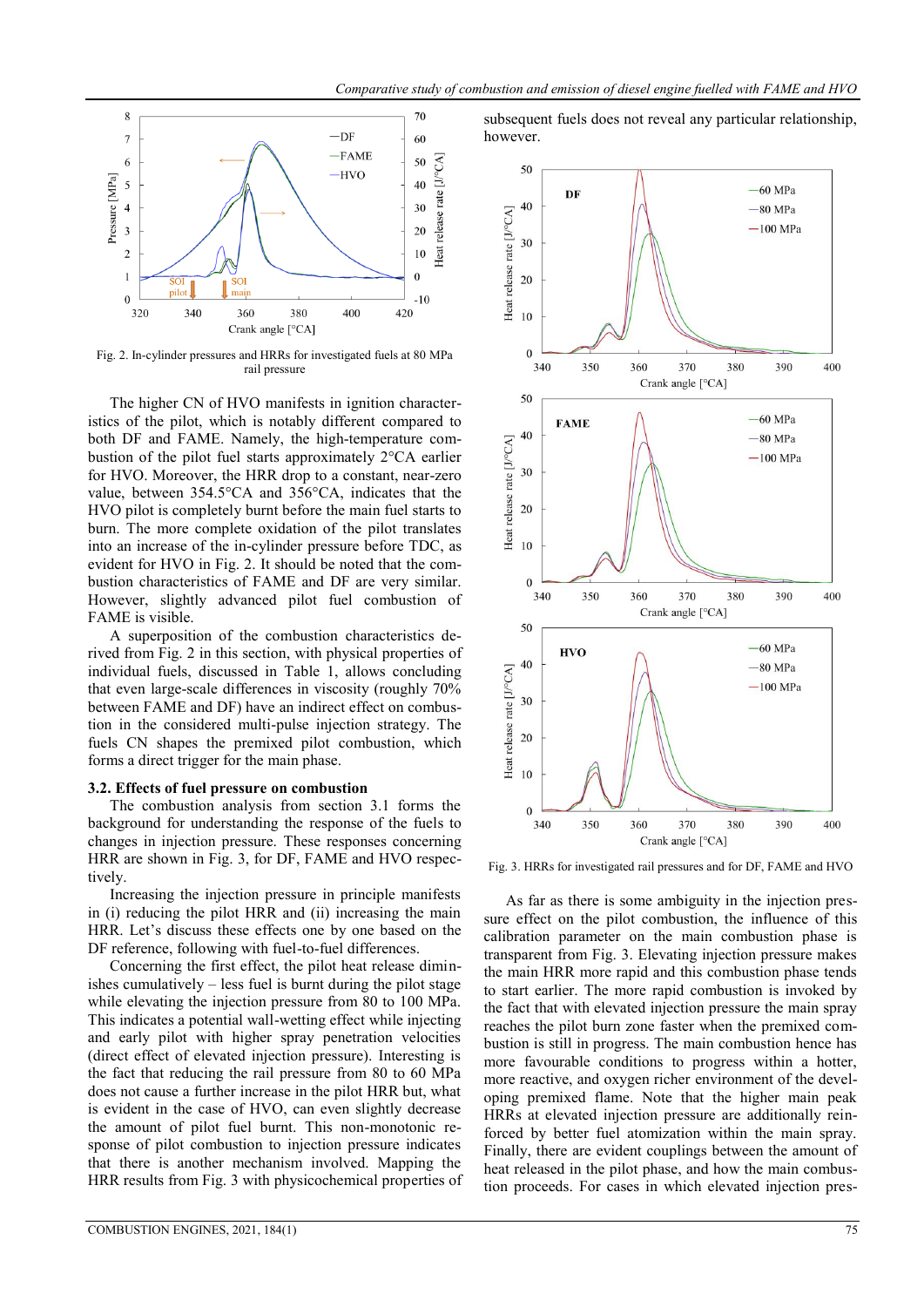

Fig. 2. In-cylinder pressures and HRRs for investigated fuels at 80 MPa rail pressure

The higher CN of HVO manifests in ignition characteristics of the pilot, which is notably different compared to both DF and FAME. Namely, the high-temperature combustion of the pilot fuel starts approximately 2°CA earlier for HVO. Moreover, the HRR drop to a constant, near-zero value, between 354.5°CA and 356°CA, indicates that the HVO pilot is completely burnt before the main fuel starts to burn. The more complete oxidation of the pilot translates into an increase of the in-cylinder pressure before TDC, as evident for HVO in Fig. 2. It should be noted that the combustion characteristics of FAME and DF are very similar. However, slightly advanced pilot fuel combustion of FAME is visible.

A superposition of the combustion characteristics derived from Fig. 2 in this section, with physical properties of individual fuels, discussed in Table 1, allows concluding that even large-scale differences in viscosity (roughly 70% between FAME and DF) have an indirect effect on combustion in the considered multi-pulse injection strategy. The fuels CN shapes the premixed pilot combustion, which forms a direct trigger for the main phase.

# **3.2. Effects of fuel pressure on combustion**

The combustion analysis from section 3.1 forms the background for understanding the response of the fuels to changes in injection pressure. These responses concerning HRR are shown in Fig. 3, for DF, FAME and HVO respectively.

Increasing the injection pressure in principle manifests in (i) reducing the pilot HRR and (ii) increasing the main HRR. Let's discuss these effects one by one based on the DF reference, following with fuel-to-fuel differences.

Concerning the first effect, the pilot heat release diminishes cumulatively – less fuel is burnt during the pilot stage while elevating the injection pressure from 80 to 100 MPa. This indicates a potential wall-wetting effect while injecting and early pilot with higher spray penetration velocities (direct effect of elevated injection pressure). Interesting is the fact that reducing the rail pressure from 80 to 60 MPa does not cause a further increase in the pilot HRR but, what is evident in the case of HVO, can even slightly decrease the amount of pilot fuel burnt. This non-monotonic response of pilot combustion to injection pressure indicates that there is another mechanism involved. Mapping the HRR results from Fig. 3 with physicochemical properties of







Fig. 3. HRRs for investigated rail pressures and for DF, FAME and HVO

As far as there is some ambiguity in the injection pressure effect on the pilot combustion, the influence of this calibration parameter on the main combustion phase is transparent from Fig. 3. Elevating injection pressure makes the main HRR more rapid and this combustion phase tends to start earlier. The more rapid combustion is invoked by the fact that with elevated injection pressure the main spray reaches the pilot burn zone faster when the premixed combustion is still in progress. The main combustion hence has more favourable conditions to progress within a hotter, more reactive, and oxygen richer environment of the developing premixed flame. Note that the higher main peak HRRs at elevated injection pressure are additionally reinforced by better fuel atomization within the main spray. Finally, there are evident couplings between the amount of heat released in the pilot phase, and how the main combustion proceeds. For cases in which elevated injection pres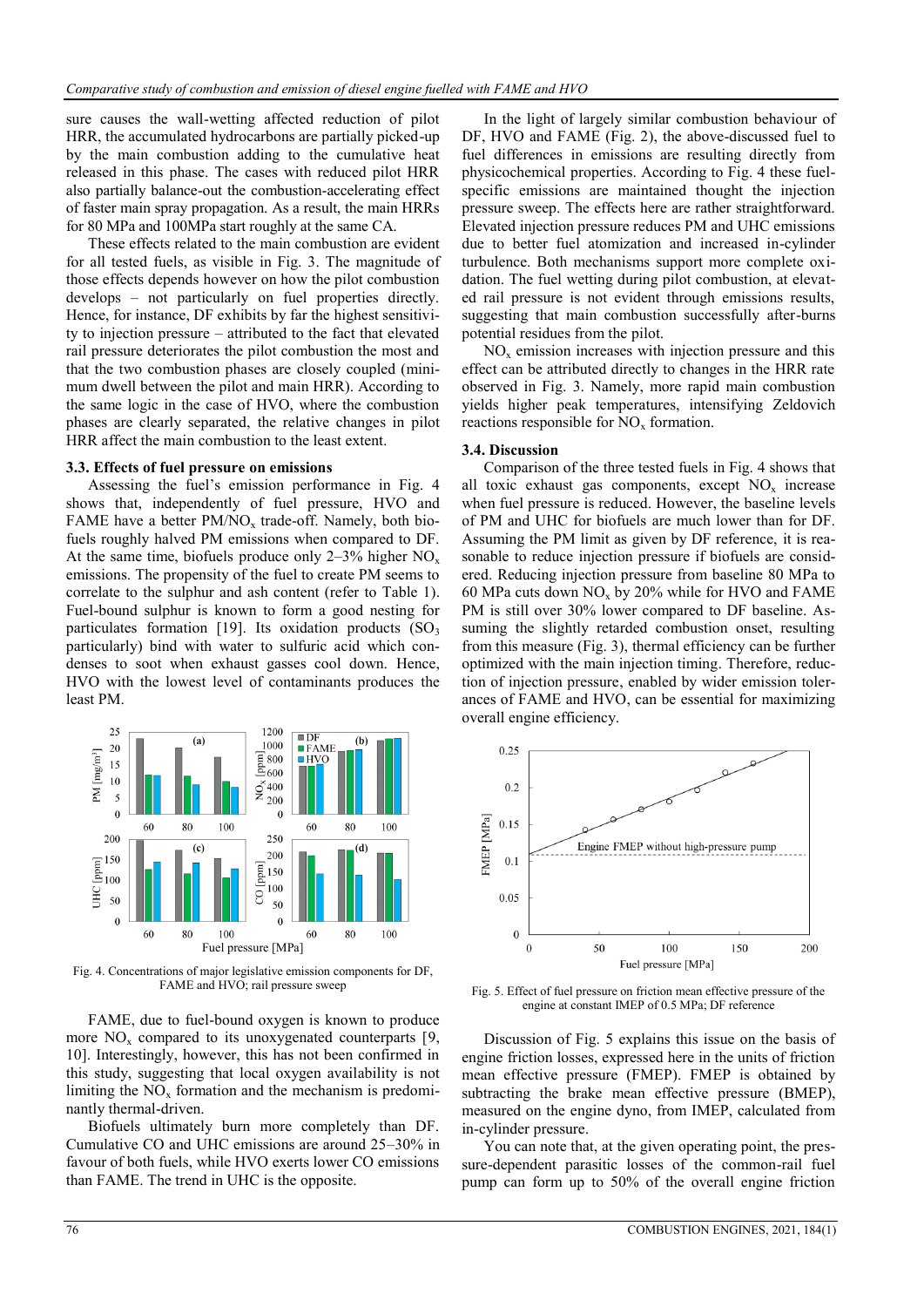sure causes the wall-wetting affected reduction of pilot HRR, the accumulated hydrocarbons are partially picked-up by the main combustion adding to the cumulative heat released in this phase. The cases with reduced pilot HRR also partially balance-out the combustion-accelerating effect of faster main spray propagation. As a result, the main HRRs for 80 MPa and 100MPa start roughly at the same CA.

These effects related to the main combustion are evident for all tested fuels, as visible in Fig. 3. The magnitude of those effects depends however on how the pilot combustion develops – not particularly on fuel properties directly. Hence, for instance, DF exhibits by far the highest sensitivity to injection pressure – attributed to the fact that elevated rail pressure deteriorates the pilot combustion the most and that the two combustion phases are closely coupled (minimum dwell between the pilot and main HRR). According to the same logic in the case of HVO, where the combustion phases are clearly separated, the relative changes in pilot HRR affect the main combustion to the least extent.

#### **3.3. Effects of fuel pressure on emissions**

Assessing the fuel's emission performance in Fig. 4 shows that, independently of fuel pressure, HVO and FAME have a better  $PM/NO<sub>x</sub>$  trade-off. Namely, both biofuels roughly halved PM emissions when compared to DF. At the same time, biofuels produce only  $2-3\%$  higher NO<sub>x</sub> emissions. The propensity of the fuel to create PM seems to correlate to the sulphur and ash content (refer to Table 1). Fuel-bound sulphur is known to form a good nesting for particulates formation [19]. Its oxidation products  $(SO<sub>3</sub>)$ particularly) bind with water to sulfuric acid which condenses to soot when exhaust gasses cool down. Hence, HVO with the lowest level of contaminants produces the least PM.



Fig. 4. Concentrations of major legislative emission components for DF, FAME and HVO; rail pressure sweep

FAME, due to fuel-bound oxygen is known to produce more  $NO<sub>x</sub>$  compared to its unoxygenated counterparts [9, 10]. Interestingly, however, this has not been confirmed in this study, suggesting that local oxygen availability is not limiting the  $NO<sub>x</sub>$  formation and the mechanism is predominantly thermal-driven.

Biofuels ultimately burn more completely than DF. Cumulative CO and UHC emissions are around 25–30% in favour of both fuels, while HVO exerts lower CO emissions than FAME. The trend in UHC is the opposite.

In the light of largely similar combustion behaviour of DF, HVO and FAME (Fig. 2), the above-discussed fuel to fuel differences in emissions are resulting directly from physicochemical properties. According to Fig. 4 these fuelspecific emissions are maintained thought the injection pressure sweep. The effects here are rather straightforward. Elevated injection pressure reduces PM and UHC emissions due to better fuel atomization and increased in-cylinder turbulence. Both mechanisms support more complete oxidation. The fuel wetting during pilot combustion, at elevated rail pressure is not evident through emissions results, suggesting that main combustion successfully after-burns potential residues from the pilot.

 $NO<sub>x</sub>$  emission increases with injection pressure and this effect can be attributed directly to changes in the HRR rate observed in Fig. 3. Namely, more rapid main combustion yields higher peak temperatures, intensifying Zeldovich reactions responsible for  $NO<sub>x</sub>$  formation.

#### **3.4. Discussion**

Comparison of the three tested fuels in Fig. 4 shows that all toxic exhaust gas components, except  $NO<sub>x</sub>$  increase when fuel pressure is reduced. However, the baseline levels of PM and UHC for biofuels are much lower than for DF. Assuming the PM limit as given by DF reference, it is reasonable to reduce injection pressure if biofuels are considered. Reducing injection pressure from baseline 80 MPa to 60 MPa cuts down  $NO<sub>x</sub>$  by 20% while for HVO and FAME PM is still over 30% lower compared to DF baseline. Assuming the slightly retarded combustion onset, resulting from this measure (Fig. 3), thermal efficiency can be further optimized with the main injection timing. Therefore, reduction of injection pressure, enabled by wider emission tolerances of FAME and HVO, can be essential for maximizing overall engine efficiency.



Fig. 5. Effect of fuel pressure on friction mean effective pressure of the engine at constant IMEP of 0.5 MPa; DF reference

Discussion of Fig. 5 explains this issue on the basis of engine friction losses, expressed here in the units of friction mean effective pressure (FMEP). FMEP is obtained by subtracting the brake mean effective pressure (BMEP), measured on the engine dyno, from IMEP, calculated from in-cylinder pressure.

You can note that, at the given operating point, the pressure-dependent parasitic losses of the common-rail fuel pump can form up to 50% of the overall engine friction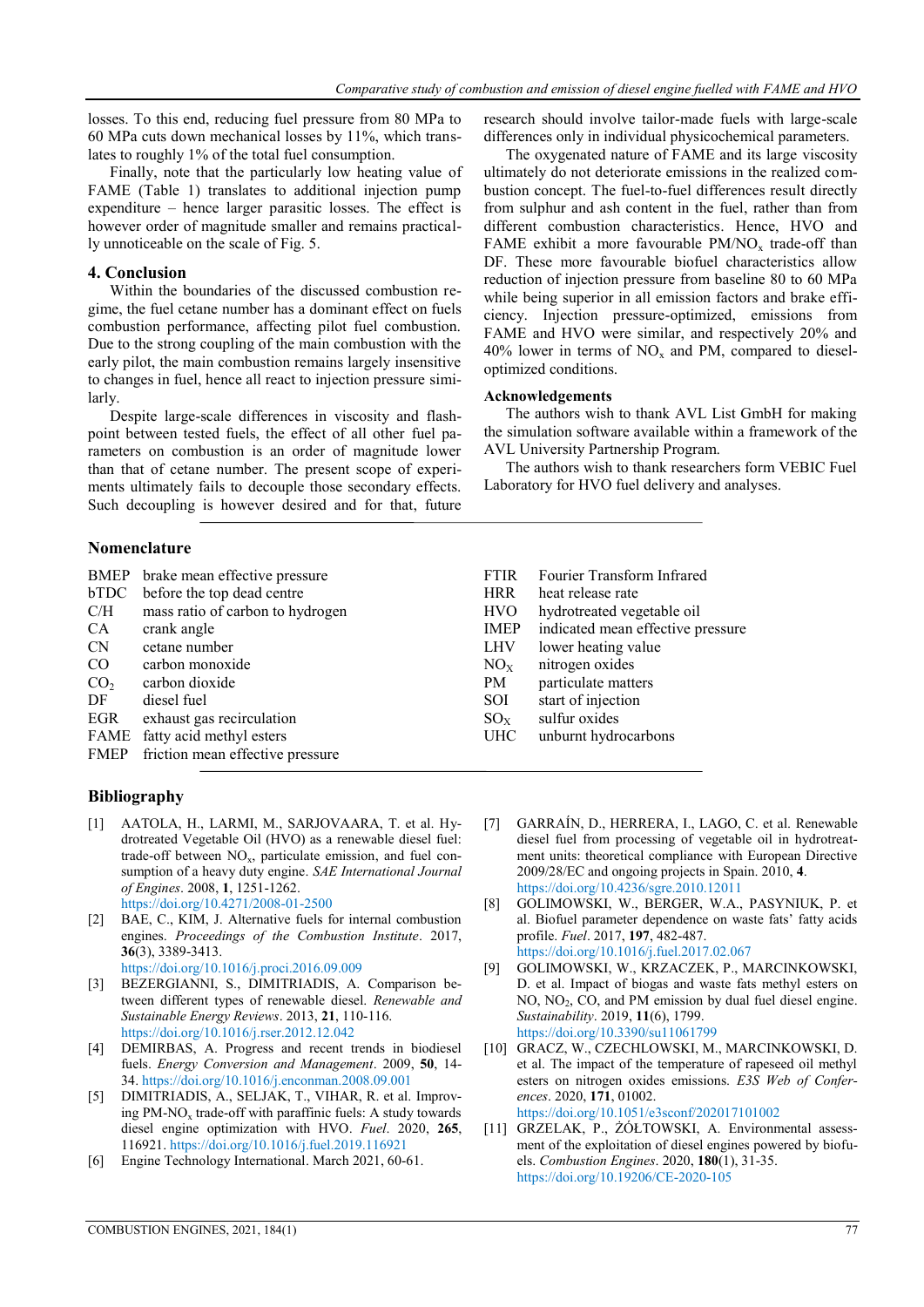optimized conditions. **Acknowledgements**

AVL University Partnership Program.

Laboratory for HVO fuel delivery and analyses.

research should involve tailor-made fuels with large-scale differences only in individual physicochemical parameters. The oxygenated nature of FAME and its large viscosity ultimately do not deteriorate emissions in the realized combustion concept. The fuel-to-fuel differences result directly from sulphur and ash content in the fuel, rather than from different combustion characteristics. Hence, HVO and FAME exhibit a more favourable  $PM/NO<sub>x</sub>$  trade-off than DF. These more favourable biofuel characteristics allow reduction of injection pressure from baseline 80 to 60 MPa while being superior in all emission factors and brake efficiency. Injection pressure-optimized, emissions from FAME and HVO were similar, and respectively 20% and  $40\%$  lower in terms of NO<sub>x</sub> and PM, compared to diesel-

The authors wish to thank AVL List GmbH for making the simulation software available within a framework of the

The authors wish to thank researchers form VEBIC Fuel

losses. To this end, reducing fuel pressure from 80 MPa to 60 MPa cuts down mechanical losses by 11%, which translates to roughly 1% of the total fuel consumption.

Finally, note that the particularly low heating value of FAME (Table 1) translates to additional injection pump expenditure – hence larger parasitic losses. The effect is however order of magnitude smaller and remains practically unnoticeable on the scale of Fig. 5.

## **4. Conclusion**

Within the boundaries of the discussed combustion regime, the fuel cetane number has a dominant effect on fuels combustion performance, affecting pilot fuel combustion. Due to the strong coupling of the main combustion with the early pilot, the main combustion remains largely insensitive to changes in fuel, hence all react to injection pressure similarly.

Despite large-scale differences in viscosity and flashpoint between tested fuels, the effect of all other fuel parameters on combustion is an order of magnitude lower than that of cetane number. The present scope of experiments ultimately fails to decouple those secondary effects. Such decoupling is however desired and for that, future

#### **Nomenclature**

|                 | BMEP brake mean effective pressure | <b>FTIR</b> | Fourier Transform Infrared        |
|-----------------|------------------------------------|-------------|-----------------------------------|
|                 | bTDC before the top dead centre    | <b>HRR</b>  | heat release rate                 |
| C/H             | mass ratio of carbon to hydrogen   | <b>HVO</b>  | hydrotreated vegetable oil        |
| CA.             | crank angle                        | IMEP        | indicated mean effective pressure |
| CN.             | cetane number                      | <b>LHV</b>  | lower heating value               |
| CO              | carbon monoxide                    | $NO_{X}$    | nitrogen oxides                   |
| CO <sub>2</sub> | carbon dioxide                     | PM          | particulate matters               |
| DF              | diesel fuel                        | SOI         | start of injection                |
| EGR             | exhaust gas recirculation          | $SO_{X}$    | sulfur oxides                     |
|                 | FAME fatty acid methyl esters      | <b>UHC</b>  | unburnt hydrocarbons              |
| <b>FMEP</b>     | friction mean effective pressure   |             |                                   |

# **Bibliography**

- [1] AATOLA, H., LARMI, M., SARJOVAARA, T. et al. Hydrotreated Vegetable Oil (HVO) as a renewable diesel fuel: trade-off between  $NO<sub>x</sub>$ , particulate emission, and fuel consumption of a heavy duty engine. *SAE International Journal of Engines*. 2008, **1**, 1251-1262. https://doi.org/10.4271/2008-01-2500
- [2] BAE, C., KIM, J. Alternative fuels for internal combustion engines. *Proceedings of the Combustion Institute*. 2017, **36**(3), 3389-3413.

https://doi.org/10.1016/j.proci.2016.09.009

- [3] BEZERGIANNI, S., DIMITRIADIS, A. Comparison between different types of renewable diesel. *Renewable and Sustainable Energy Reviews*. 2013, **21**, 110-116. https://doi.org/10.1016/j.rser.2012.12.042
- [4] DEMIRBAS, A. Progress and recent trends in biodiesel fuels. *Energy Conversion and Management*. 2009, **50**, 14- 34. https://doi.org/10.1016/j.enconman.2008.09.001
- [5] DIMITRIADIS, A., SELJAK, T., VIHAR, R. et al. Improving PM-NO<sub>x</sub> trade-off with paraffinic fuels: A study towards diesel engine optimization with HVO. *Fuel*. 2020, **265**, 116921. https://doi.org/10.1016/j.fuel.2019.116921
- [6] Engine Technology International. March 2021, 60-61.
- [7] GARRAÍN, D., HERRERA, I., LAGO, C. et al. Renewable diesel fuel from processing of vegetable oil in hydrotreatment units: theoretical compliance with European Directive 2009/28/EC and ongoing projects in Spain. 2010, **4**. https://doi.org/10.4236/sgre.2010.12011
- [8] GOLIMOWSKI, W., BERGER, W.A., PASYNIUK, P. et al. Biofuel parameter dependence on waste fats' fatty acids profile. *Fuel*. 2017, **197**, 482-487. https://doi.org/10.1016/j.fuel.2017.02.067
- [9] GOLIMOWSKI, W., KRZACZEK, P., MARCINKOWSKI, D. et al. Impact of biogas and waste fats methyl esters on NO, NO<sub>2</sub>, CO, and PM emission by dual fuel diesel engine. *Sustainability*. 2019, **11**(6), 1799. https://doi.org/10.3390/su11061799
- [10] GRACZ, W., CZECHLOWSKI, M., MARCINKOWSKI, D. et al. The impact of the temperature of rapeseed oil methyl esters on nitrogen oxides emissions. *E3S Web of Conferences*. 2020, **171**, 01002. https://doi.org/10.1051/e3sconf/202017101002
- [11] GRZELAK, P., ŻÓŁTOWSKI, A. Environmental assessment of the exploitation of diesel engines powered by biofuels. *Combustion Engines*. 2020, **180**(1), 31-35. https://doi.org/10.19206/CE-2020-105